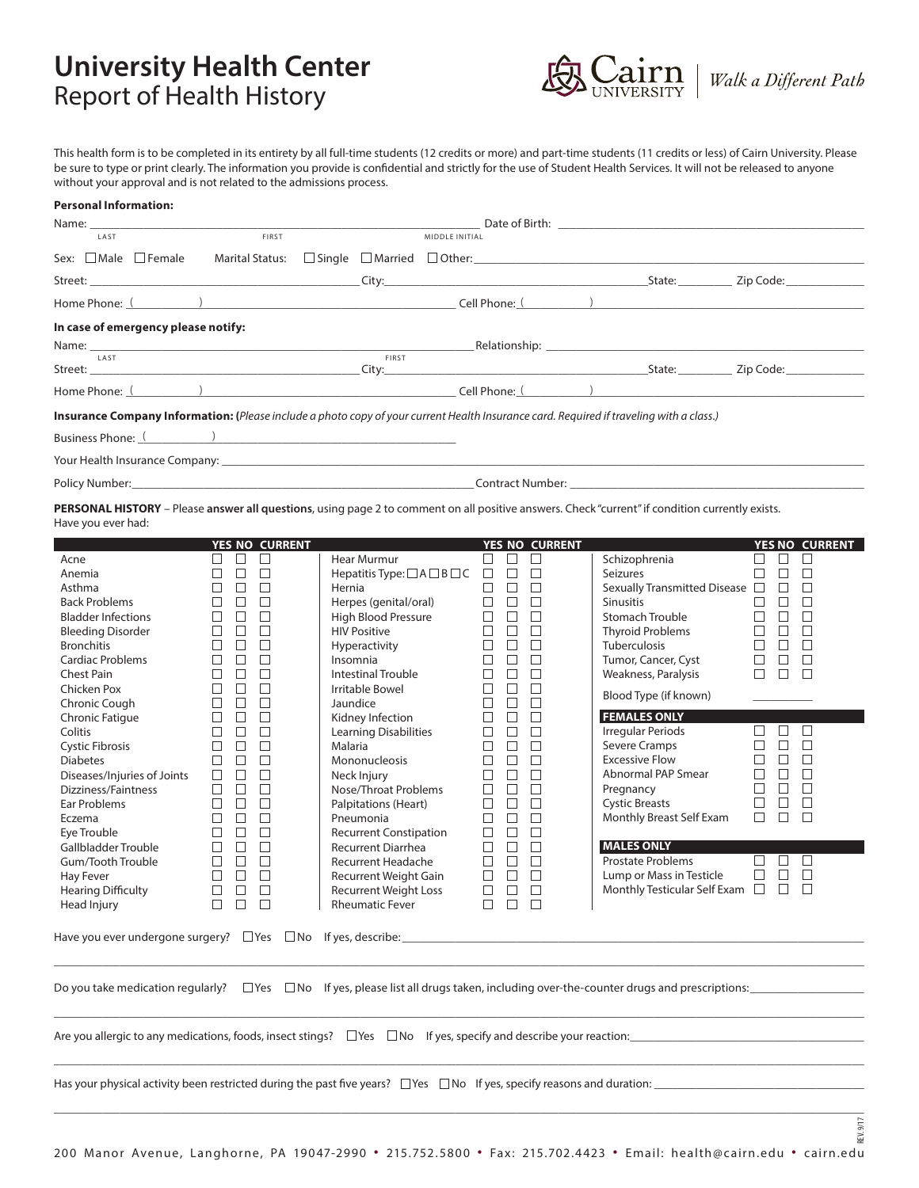## **University Health Center** Report of Health History



This health form is to be completed in its entirety by all full-time students (12 credits or more) and part-time students (11 credits or less) of Cairn University. Please be sure to type or print clearly. The information you provide is confidential and strictly for the use of Student Health Services. It will not be released to anyone without your approval and is not related to the admissions process.

## **Personal Information:**

| Name: _<br>LAST                                                                                                                                                                                                                      | FIRST                                 |                                                   | MIDDLE INITIAL                                                                                              |                       |                                            |                            |
|--------------------------------------------------------------------------------------------------------------------------------------------------------------------------------------------------------------------------------------|---------------------------------------|---------------------------------------------------|-------------------------------------------------------------------------------------------------------------|-----------------------|--------------------------------------------|----------------------------|
|                                                                                                                                                                                                                                      |                                       |                                                   |                                                                                                             |                       |                                            |                            |
| Sex: $\Box$ Male $\Box$ Female                                                                                                                                                                                                       |                                       |                                                   |                                                                                                             |                       |                                            |                            |
|                                                                                                                                                                                                                                      |                                       |                                                   |                                                                                                             |                       |                                            |                            |
| Home Phone: ( October 2012) and the contract of the contract of the contract of the contract of the contract of the contract of the contract of the contract of the contract of the contract of the contract of the contract o       |                                       |                                                   |                                                                                                             |                       |                                            |                            |
| In case of emergency please notify:                                                                                                                                                                                                  |                                       |                                                   |                                                                                                             |                       |                                            |                            |
| Name: LAST Relationship: LAST Relationship: LAST Relationship: LAST RELATIONSHIP: LAST RELATIONSHIP: LAST RELATIONSHIPS: LAST RELATIONSHIPS: LAST RELATIONSHIPS: LAST RELATIONSHIPS: LAST RELATIONSHIPS: LAST RELATIONSHIPS: L       |                                       |                                                   |                                                                                                             |                       |                                            |                            |
|                                                                                                                                                                                                                                      |                                       |                                                   |                                                                                                             |                       |                                            |                            |
| Home Phone: <u>(New York: Electron Communication Communication Cell Phone: (New York: New York: New York: New York: New York: New York: New York: New York: New York: New York: New York: New York: New York: New York: New York</u> |                                       |                                                   |                                                                                                             |                       |                                            |                            |
| Insurance Company Information: (Please include a photo copy of your current Health Insurance card. Required if traveling with a class.)                                                                                              |                                       |                                                   |                                                                                                             |                       |                                            |                            |
|                                                                                                                                                                                                                                      |                                       |                                                   |                                                                                                             |                       |                                            |                            |
|                                                                                                                                                                                                                                      |                                       |                                                   |                                                                                                             |                       |                                            |                            |
|                                                                                                                                                                                                                                      |                                       |                                                   |                                                                                                             |                       |                                            |                            |
| PERSONAL HISTORY - Please answer all questions, using page 2 to comment on all positive answers. Check "current" if condition currently exists.                                                                                      |                                       |                                                   |                                                                                                             |                       |                                            |                            |
| Have you ever had:                                                                                                                                                                                                                   |                                       |                                                   |                                                                                                             |                       |                                            |                            |
|                                                                                                                                                                                                                                      | <b>YES NO CURRENT</b>                 |                                                   |                                                                                                             | <b>YES NO CURRENT</b> |                                            | <b>YES NO CURRENT</b>      |
| Acne                                                                                                                                                                                                                                 | $\Box$<br>ப                           | Hear Murmur                                       | $\Box$<br>⊔                                                                                                 | $\Box$                | Schizophrenia                              | $\Box$<br>$\Box$<br>$\Box$ |
| Anemia                                                                                                                                                                                                                               | $\Box$<br>П<br>$\Box$                 | Hepatitis Type: $\Box$ A $\Box$ B $\Box$ C $\Box$ | $\Box$                                                                                                      | $\Box$                | Seizures                                   | $\Box$<br>$\Box$<br>$\Box$ |
| Asthma                                                                                                                                                                                                                               | П<br>$\Box$<br>П                      | Hernia                                            | $\Box$<br>$\Box$                                                                                            | $\Box$                | Sexually Transmitted Disease $\Box$ $\Box$ | $\Box$                     |
| <b>Back Problems</b>                                                                                                                                                                                                                 | $\Box$<br>□<br>$\Box$                 |                                                   | $\Box$ $\Box$                                                                                               | $\Box$                | <b>Sinusitis</b>                           | $\Box$<br>$\Box$<br>$\Box$ |
| <b>Bladder Infections</b>                                                                                                                                                                                                            | $\Box$<br>П<br>$\Box$                 | Herpes (genital/oral)<br>High Blood Pressure      | $\Box$ $\Box$                                                                                               | $\Box$                | <b>Stomach Trouble</b>                     | $\Box$<br>$\Box$<br>$\Box$ |
| <b>Bleeding Disorder</b>                                                                                                                                                                                                             | $\Box$<br>П<br>$\Box$                 | <b>HIV Positive</b>                               | $\Box$ $\Box$                                                                                               | $\Box$                | <b>Thyroid Problems</b>                    | $\Box$ $\Box$<br>$\Box$    |
| <b>Bronchitis</b>                                                                                                                                                                                                                    | $\Box$<br>$\Box$<br>$\Box$            | Hyperactivity                                     | $\Box$                                                                                                      | П                     | <b>Tuberculosis</b>                        | $\Box$<br>$\Box$<br>$\Box$ |
| <b>Cardiac Problems</b>                                                                                                                                                                                                              | П<br>$\Box$<br>$\Box$                 | Insomnia                                          | $\Box$<br>$\Box$                                                                                            | $\Box$                | Tumor, Cancer, Cyst                        | $\Box$<br>$\Box$<br>$\Box$ |
| Chest Pain                                                                                                                                                                                                                           | $\Box$<br>$\Box$<br>$\Box$            | Intestinal Trouble                                | $\Box$<br>$\Box$                                                                                            | $\Box$                | Weakness, Paralysis                        | $\Box$ $\Box$ $\Box$       |
| Chicken Pox                                                                                                                                                                                                                          | $\Box$<br>П<br>□                      | Irritable Bowel                                   | $\Box$                                                                                                      | П                     |                                            |                            |
| Chronic Cough                                                                                                                                                                                                                        | $\Box$<br>$\Box$<br>П                 | Jaundice                                          | $\Box$<br>$\Box$                                                                                            | $\Box$                | Blood Type (if known)                      |                            |
| Chronic Fatigue                                                                                                                                                                                                                      | $\Box$<br>$\Box$<br>$\Box$            | Kidney Infection                                  | $\Box$<br>$\Box$                                                                                            | $\Box$                | <b>FEMALES ONLY</b>                        |                            |
| Colitis                                                                                                                                                                                                                              | $\Box$<br>П<br>$\Box$                 | <b>Learning Disabilities</b>                      | $\Box$ $\Box$                                                                                               | $\Box$                | Irregular Periods                          | $\Box$<br>$\Box$<br>$\Box$ |
| Cystic Fibrosis                                                                                                                                                                                                                      | $\Box$<br>$\Box$<br>□                 | Malaria                                           | $\Box$<br>$\Box$                                                                                            | $\Box$                | Severe Cramps                              | П.<br>$\Box$<br>$\Box$     |
| <b>Diabetes</b>                                                                                                                                                                                                                      | $\Box$<br>П<br>$\Box$                 | Mononucleosis                                     | $\Box$<br>$\Box$                                                                                            | П                     | <b>Excessive Flow</b>                      | $\Box$<br>$\Box$<br>$\Box$ |
| Diseases/Injuries of Joints                                                                                                                                                                                                          | $\Box$<br>$\Box$<br>$\Box$            | Neck Injury                                       | $\Box$<br>$\Box$                                                                                            | $\Box$                | Abnormal PAP Smear                         | $\Box$<br>$\Box$<br>$\Box$ |
| Dizziness/Faintness                                                                                                                                                                                                                  | $\Box$<br>$\Box$<br>$\Box$            | Nose/Throat Problems                              | $\Box$                                                                                                      | П                     | Pregnancy                                  | $\Box$<br>$\Box$<br>$\Box$ |
| Ear Problems                                                                                                                                                                                                                         | П<br>$\Box$ $\Box$                    | <b>Palpitations (Heart)</b>                       | $\Box$ $\Box$                                                                                               | $\Box$                | <b>Cystic Breasts</b>                      | $\Box$<br>$\Box$<br>$\Box$ |
| Eczema                                                                                                                                                                                                                               | $\Box$ $\Box$<br>□                    | Pneumonia                                         | $\Box$ $\Box$                                                                                               | $\Box$                | Monthly Breast Self Exam                   | $\Box$ $\Box$<br>$\Box$    |
| Eye Trouble                                                                                                                                                                                                                          | $\Box$ $\Box$<br>П                    | <b>Recurrent Constipation</b>                     | $\Box$<br>$\Box$                                                                                            | $\Box$                |                                            |                            |
| Gallbladder Trouble                                                                                                                                                                                                                  | $\Box$ $\Box$<br>$\Box$               | Recurrent Diarrhea                                | $\Box$<br>$\Box$                                                                                            | $\Box$                | <b>MALES ONLY</b>                          |                            |
| Gum/Tooth Trouble                                                                                                                                                                                                                    | П<br>$\Box$<br>$\Box$                 | Recurrent Headache                                | $\Box$<br>$\Box$                                                                                            | П                     | <b>Prostate Problems</b>                   | □<br>$\Box$                |
| Hay Fever                                                                                                                                                                                                                            | $\Box$<br>$\Box$<br>$\Box$            | Recurrent Weight Gain                             | $\Box$<br>$\Box$                                                                                            | $\Box$                | Lump or Mass in Testicle                   | $\Box$<br>$\Box$<br>$\Box$ |
| <b>Hearing Difficulty</b>                                                                                                                                                                                                            | $\hfill \Box$ $\hfill \Box$<br>$\Box$ | Recurrent Weight Loss                             | $\begin{array}{c} \square \hspace{0.2cm} \square \hspace{0.2cm} \square \hspace{0.2cm} \square \end{array}$ |                       | Monthly Testicular Self Exam $\Box$ $\Box$ |                            |
| Head Injury                                                                                                                                                                                                                          | $\Box$<br>$\Box$<br>⊔                 | Rheumatic Fever                                   | $\Box$                                                                                                      | $\Box$                |                                            |                            |
|                                                                                                                                                                                                                                      |                                       |                                                   |                                                                                                             |                       |                                            |                            |
|                                                                                                                                                                                                                                      |                                       |                                                   |                                                                                                             |                       |                                            |                            |
|                                                                                                                                                                                                                                      |                                       |                                                   |                                                                                                             |                       |                                            |                            |
|                                                                                                                                                                                                                                      |                                       |                                                   |                                                                                                             |                       |                                            |                            |

 $\Box$